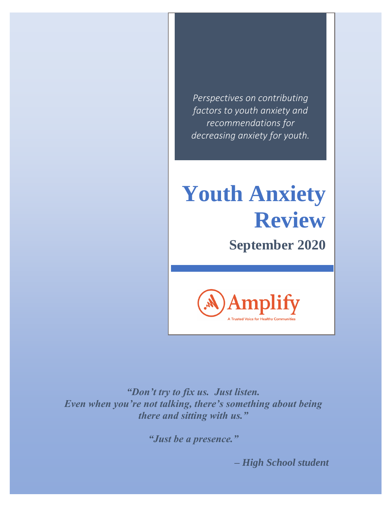*Perspectives on contributing factors to youth anxiety and recommendations for decreasing anxiety for youth.* 

# **Youth Anxiety Review**

**September 2020**



*"Don't try to fix us. Just listen. Even when you're not talking, there's something about being there and sitting with us."*

*"Just be a presence."*

 *– High School student*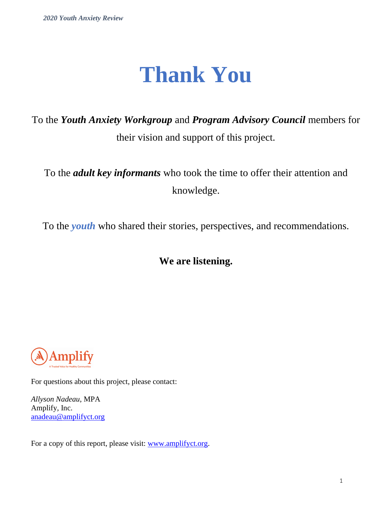## **Thank You**

To the *Youth Anxiety Workgroup* and *Program Advisory Council* members for their vision and support of this project.

To the *adult key informants* who took the time to offer their attention and knowledge.

To the *youth* who shared their stories, perspectives, and recommendations.

## **We are listening.**



For questions about this project, please contact:

*Allyson Nadeau*, MPA Amplify, Inc. [anadeau@amplifyct.org](mailto:anadeau@amplifyct.org)

For a copy of this report, please visit: [www.amplifyct.org.](http://www.amplifyct.org/)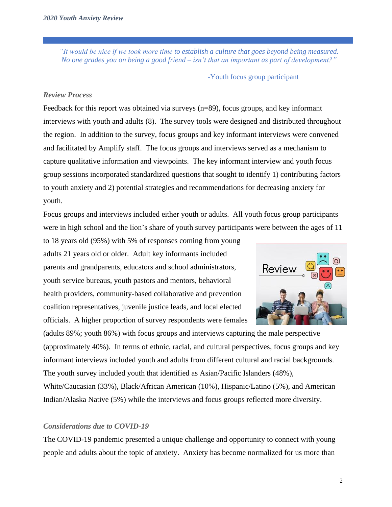*"It would be nice if we took more time to establish a culture that goes beyond being measured. No one grades you on being a good friend – isn't that an important as part of development?"*

-Youth focus group participant

## *Review Process*

Feedback for this report was obtained via surveys (n=89), focus groups, and key informant interviews with youth and adults (8). The survey tools were designed and distributed throughout the region. In addition to the survey, focus groups and key informant interviews were convened and facilitated by Amplify staff. The focus groups and interviews served as a mechanism to capture qualitative information and viewpoints. The key informant interview and youth focus group sessions incorporated standardized questions that sought to identify 1) contributing factors to youth anxiety and 2) potential strategies and recommendations for decreasing anxiety for youth.

Focus groups and interviews included either youth or adults. All youth focus group participants were in high school and the lion's share of youth survey participants were between the ages of 11

to 18 years old (95%) with 5% of responses coming from young adults 21 years old or older. Adult key informants included parents and grandparents, educators and school administrators, youth service bureaus, youth pastors and mentors, behavioral health providers, community-based collaborative and prevention coalition representatives, juvenile justice leads, and local elected officials. A higher proportion of survey respondents were females



(adults 89%; youth 86%) with focus groups and interviews capturing the male perspective (approximately 40%). In terms of ethnic, racial, and cultural perspectives, focus groups and key informant interviews included youth and adults from different cultural and racial backgrounds. The youth survey included youth that identified as Asian/Pacific Islanders (48%), White/Caucasian (33%), Black/African American (10%), Hispanic/Latino (5%), and American Indian/Alaska Native (5%) while the interviews and focus groups reflected more diversity.

## *Considerations due to COVID-19*

The COVID-19 pandemic presented a unique challenge and opportunity to connect with young people and adults about the topic of anxiety. Anxiety has become normalized for us more than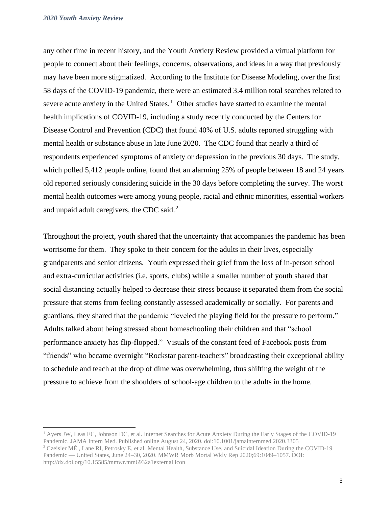any other time in recent history, and the Youth Anxiety Review provided a virtual platform for people to connect about their feelings, concerns, observations, and ideas in a way that previously may have been more stigmatized. According to the Institute for Disease Modeling, over the first 58 days of the COVID-19 pandemic, there were an estimated 3.4 million total searches related to severe acute anxiety in the United States.<sup>1</sup> Other studies have started to examine the mental health implications of COVID-19, including a study recently conducted by the Centers for Disease Control and Prevention (CDC) that found 40% of U.S. adults reported struggling with mental health or substance abuse in late June 2020. The CDC found that nearly a third of respondents experienced symptoms of anxiety or depression in the previous 30 days. The study, which polled 5,412 people online, found that an alarming 25% of people between 18 and 24 years old reported seriously considering suicide in the 30 days before completing the survey. The worst mental health outcomes were among young people, racial and ethnic minorities, essential workers and unpaid adult caregivers, the CDC said. $^2$ 

Throughout the project, youth shared that the uncertainty that accompanies the pandemic has been worrisome for them. They spoke to their concern for the adults in their lives, especially grandparents and senior citizens. Youth expressed their grief from the loss of in-person school and extra-curricular activities (i.e. sports, clubs) while a smaller number of youth shared that social distancing actually helped to decrease their stress because it separated them from the social pressure that stems from feeling constantly assessed academically or socially. For parents and guardians, they shared that the pandemic "leveled the playing field for the pressure to perform." Adults talked about being stressed about homeschooling their children and that "school performance anxiety has flip-flopped." Visuals of the constant feed of Facebook posts from "friends" who became overnight "Rockstar parent-teachers" broadcasting their exceptional ability to schedule and teach at the drop of dime was overwhelming, thus shifting the weight of the pressure to achieve from the shoulders of school-age children to the adults in the home.

<sup>1</sup> Ayers JW, Leas EC, Johnson DC, et al. Internet Searches for Acute Anxiety During the Early Stages of the COVID-19 Pandemic. JAMA Intern Med. Published online August 24, 2020. doi:10.1001/jamainternmed.2020.3305

 $2$  Czeisler MÉ, Lane RI, Petrosky E, et al. Mental Health, Substance Use, and Suicidal Ideation During the COVID-19 Pandemic — United States, June 24–30, 2020. MMWR Morb Mortal Wkly Rep 2020;69:1049–1057. DOI: http://dx.doi.org/10.15585/mmwr.mm6932a1external icon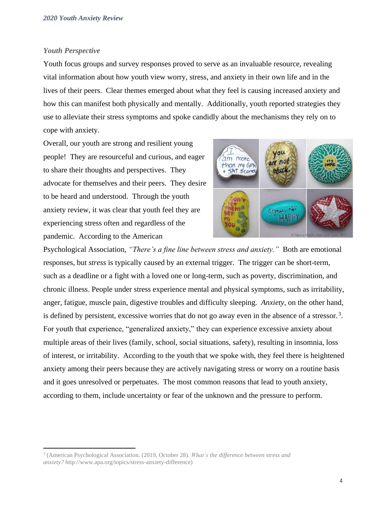## *Youth Perspective*

Youth focus groups and survey responses proved to serve as an invaluable resource, revealing vital information about how youth view worry, stress, and anxiety in their own life and in the lives of their peers. Clear themes emerged about what they feel is causing increased anxiety and how this can manifest both physically and mentally. Additionally, youth reported strategies they use to alleviate their stress symptoms and spoke candidly about the mechanisms they rely on to cope with anxiety.

Overall, our youth are strong and resilient young people! They are resourceful and curious, and eager to share their thoughts and perspectives. They advocate for themselves and their peers. They desire to be heard and understood. Through the youth anxiety review, it was clear that youth feel they are experiencing stress often and regardless of the pandemic. According to the American



Psychological Association, *"There's a fine line between stress and anxiety."* Both are emotional responses, but *stress* is typically caused by an external trigger. The trigger can be short-term, such as a deadline or a fight with a loved one or long-term, such as poverty, discrimination, and chronic illness. People under stress experience mental and physical symptoms, such as irritability, anger, fatigue, muscle pain, digestive troubles and difficulty sleeping. *Anxiety*, on the other hand, is defined by persistent, excessive worries that do not go away even in the absence of a stressor.<sup>3</sup>. For youth that experience, "generalized anxiety," they can experience excessive anxiety about multiple areas of their lives (family, school, social situations, safety), resulting in insomnia, loss of interest, or irritability. According to the youth that we spoke with, they feel there is heightened anxiety among their peers because they are actively navigating stress or worry on a routine basis and it goes unresolved or perpetuates. The most common reasons that lead to youth anxiety, according to them, include uncertainty or fear of the unknown and the pressure to perform.

<sup>3</sup> (American Psychological Association. (2019, October 28). *What's the difference between stress and anxiety?* http://www.apa.org/topics/stress-anxiety-difference)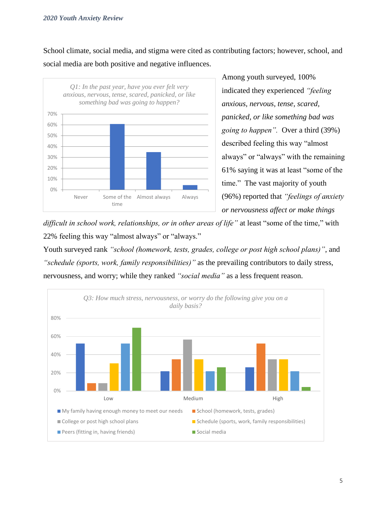School climate, social media, and stigma were cited as contributing factors; however, school, and social media are both positive and negative influences.



Among youth surveyed, 100% indicated they experienced *"feeling anxious, nervous, tense, scared, panicked, or like something bad was going to happen".* Over a third (39%) described feeling this way "almost always" or "always" with the remaining 61% saying it was at least "some of the time."The vast majority of youth (96%) reported that *"feelings of anxiety or nervousness affect or make things* 

*difficult in school work, relationships, or in other areas of life"* at least "some of the time," with 22% feeling this way "almost always" or "always."

Youth surveyed rank *"school (homework, tests, grades, college or post high school plans)"*, and *"schedule (sports, work, family responsibilities)"* as the prevailing contributors to daily stress, nervousness, and worry; while they ranked *"social media"* as a less frequent reason.

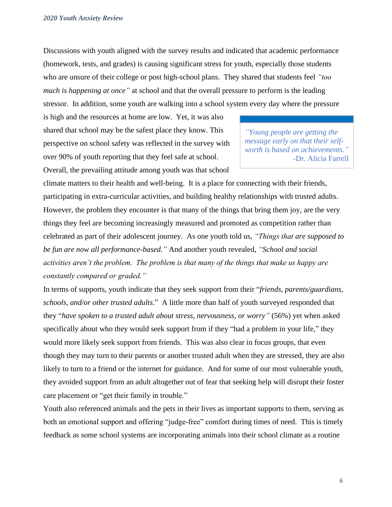Discussions with youth aligned with the survey results and indicated that academic performance (homework, tests, and grades) is causing significant stress for youth, especially those students who are unsure of their college or post high-school plans. They shared that students feel *"too much is happening at once"* at school and that the overall pressure to perform is the leading stressor. In addition, some youth are walking into a school system every day where the pressure

is high and the resources at home are low. Yet, it was also shared that school may be the safest place they know. This perspective on school safety was reflected in the survey with over 90% of youth reporting that they feel safe at school. Overall, the prevailing attitude among youth was that school

*"Young people are getting the message early on that their selfworth is based on achievements."* -Dr. Alicia Farrell

climate matters to their health and well-being. It is a place for connecting with their friends, participating in extra-curricular activities, and building healthy relationships with trusted adults. However, the problem they encounter is that many of the things that bring them joy, are the very things they feel are becoming increasingly measured and promoted as competition rather than celebrated as part of their adolescent journey. As one youth told us, *"Things that are supposed to be fun are now all performance-based."* And another youth revealed, *"School and social activities aren't the problem. The problem is that many of the things that make us happy are constantly compared or graded."* 

In terms of supports, youth indicate that they seek support from their "*friends, parents/guardians, schools, and/or other trusted adults*." A little more than half of youth surveyed responded that they "*have spoken to a trusted adult about stress, nervousness, or worry"* (56%) yet when asked specifically about who they would seek support from if they "had a problem in your life," they would more likely seek support from friends. This was also clear in focus groups, that even though they may turn to their parents or another trusted adult when they are stressed, they are also likely to turn to a friend or the internet for guidance. And for some of our most vulnerable youth, they avoided support from an adult altogether out of fear that seeking help will disrupt their foster care placement or "get their family in trouble."

Youth also referenced animals and the pets in their lives as important supports to them, serving as both an emotional support and offering "judge-free" comfort during times of need. This is timely feedback as some school systems are incorporating animals into their school climate as a routine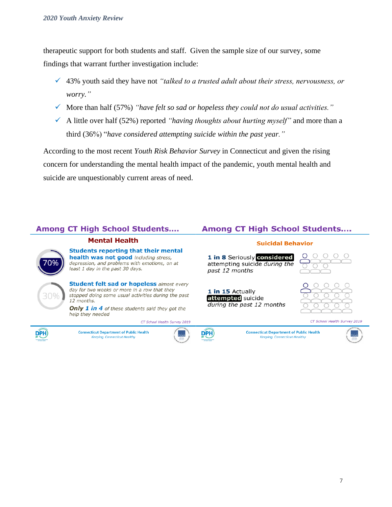therapeutic support for both students and staff.Given the sample size of our survey, some findings that warrant further investigation include:

- ✓ 43% youth said they have not *"talked to a trusted adult about their stress, nervousness, or worry."*
- ✓ More than half (57%) *"have felt so sad or hopeless they could not do usual activities."*
- ✓ A little over half (52%) reported *"having thoughts about hurting myself"* and more than a third (36%) "*have considered attempting suicide within the past year."*

According to the most recent *Youth Risk Behavior Survey* in Connecticut and given the rising concern for understanding the mental health impact of the pandemic, youth mental health and suicide are unquestionably current areas of need.

## **Among CT High School Students....**

## **Mental Health**

**Students reporting that their mental** health was not good including stress, depression, and problems with emotions, on at least 1 day in the past 30 days.



DPH)

**Student felt sad or hopeless almost every** day for two weeks or more in a row that they stopped doing some usual activities during the past 12 months.

Only 1 in 4 of these students said they got the help they needed

CT School Health Survey 2019

**Connecticut Department of Public Health Keeping Connecticut Healthy** 



DPH)

## **Among CT High School Students....**

## **Suicidal Behavior**

1 in 8 Seriously considered attempting suicide during the past 12 months

1 in 15 Actually attempted suicide during the past 12 months





CT School Health Survey 2019



**Connecticut Department of Public Health** 

**Keeping Connecticut Healthy** 

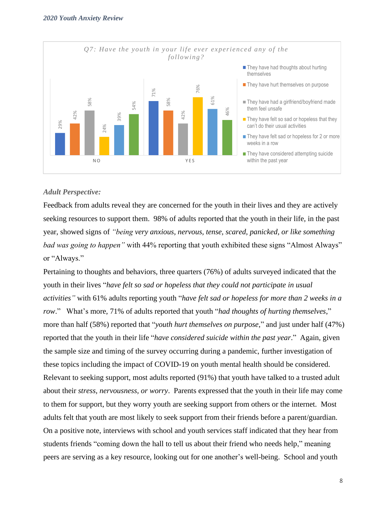

## *Adult Perspective:*

Feedback from adults reveal they are concerned for the youth in their lives and they are actively seeking resources to support them. 98% of adults reported that the youth in their life, in the past year, showed signs of *"being very anxious, nervous, tense, scared, panicked, or like something bad was going to happen"* with 44% reporting that youth exhibited these signs "Almost Always" or "Always."

Pertaining to thoughts and behaviors, three quarters (76%) of adults surveyed indicated that the youth in their lives "*have felt so sad or hopeless that they could not participate in usual activities"* with 61% adults reporting youth "*have felt sad or hopeless for more than 2 weeks in a row*." What's more, 71% of adults reported that youth "*had thoughts of hurting themselves*," more than half (58%) reported that "*youth hurt themselves on purpose*," and just under half (47%) reported that the youth in their life "*have considered suicide within the past year*." Again, given the sample size and timing of the survey occurring during a pandemic, further investigation of these topics including the impact of COVID-19 on youth mental health should be considered. Relevant to seeking support, most adults reported (91%) that youth have talked to a trusted adult about their *stress, nervousness, or worry*. Parents expressed that the youth in their life may come to them for support, but they worry youth are seeking support from others or the internet. Most adults felt that youth are most likely to seek support from their friends before a parent/guardian. On a positive note, interviews with school and youth services staff indicated that they hear from students friends "coming down the hall to tell us about their friend who needs help," meaning **Example and the serving as a key resource**. The main of the metal and service and another another another another another another another another another another another another another another another another another an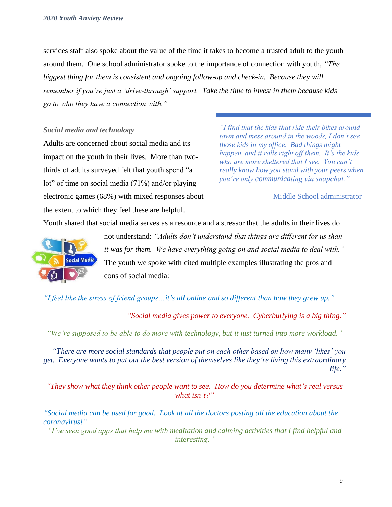services staff also spoke about the value of the time it takes to become a trusted adult to the youth around them. One school administrator spoke to the importance of connection with youth, *"The biggest thing for them is consistent and ongoing follow-up and check-in. Because they will remember if you're just a 'drive-through' support. Take the time to invest in them because kids go to who they have a connection with."* 

## *Social media and technology*

Adults are concerned about social media and its impact on the youth in their lives. More than twothirds of adults surveyed felt that youth spend "a lot" of time on social media (71%) and/or playing electronic games (68%) with mixed responses about the extent to which they feel these are helpful.

*"I find that the kids that ride their bikes around town and mess around in the woods, I don't see those kids in my office. Bad things might happen, and it rolls right off them. It's the kids who are more sheltered that I see. You can't really know how you stand with your peers when you're only communicating via snapchat."*

– Middle School administrator

Youth shared that social media serves as a resource and a stressor that the adults in their lives do



not understand: *"Adults don't understand that things are different for us than it was for them. We have everything going on and social media to deal with."*  The youth we spoke with cited multiple examples illustrating the pros and cons of social media:

*"I feel like the stress of friend groups…it's all online and so different than how they grew up."*

*"Social media gives power to everyone. Cyberbullying is a big thing."*

*"We're supposed to be able to do more with technology, but it just turned into more workload."*

*"There are more social standards that people put on each other based on how many 'likes' you get. Everyone wants to put out the best version of themselves like they're living this extraordinary life."*

*"They show what they think other people want to see. How do you determine what's real versus what isn't?"*

*"Social media can be used for good. Look at all the doctors posting all the education about the coronavirus!"*

*"I've seen good apps that help me with meditation and calming activities that I find helpful and interesting."*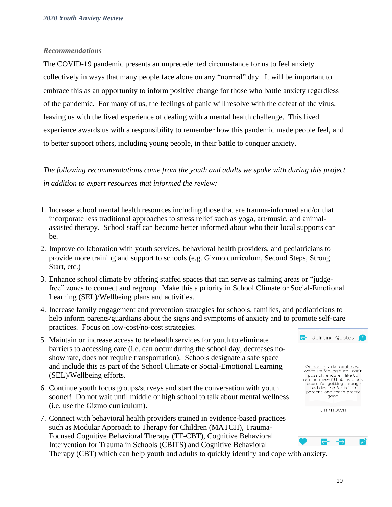## *Recommendations*

The COVID-19 pandemic presents an unprecedented circumstance for us to feel anxiety collectively in ways that many people face alone on any "normal" day. It will be important to embrace this as an opportunity to inform positive change for those who battle anxiety regardless of the pandemic. For many of us, the feelings of panic will resolve with the defeat of the virus, leaving us with the lived experience of dealing with a mental health challenge. This lived experience awards us with a responsibility to remember how this pandemic made people feel, and to better support others, including young people, in their battle to conquer anxiety.

*The following recommendations came from the youth and adults we spoke with during this project in addition to expert resources that informed the review:*

- 1. Increase school mental health resources including those that are trauma-informed and/or that incorporate less traditional approaches to stress relief such as yoga, art/music, and animalassisted therapy. School staff can become better informed about who their local supports can be.
- 2. Improve collaboration with youth services, behavioral health providers, and pediatricians to provide more training and support to schools (e.g. Gizmo curriculum, Second Steps, Strong Start, etc.)
- 3. Enhance school climate by offering staffed spaces that can serve as calming areas or "judgefree" zones to connect and regroup. Make this a priority in School Climate or Social-Emotional Learning (SEL)/Wellbeing plans and activities.
- 4. Increase family engagement and prevention strategies for schools, families, and pediatricians to help inform parents/guardians about the signs and symptoms of anxiety and to promote self-care practices. Focus on low-cost/no-cost strategies.
- 5. Maintain or increase access to telehealth services for youth to eliminate barriers to accessing care (i.e. can occur during the school day, decreases noshow rate, does not require transportation). Schools designate a safe space and include this as part of the School Climate or Social-Emotional Learning (SEL)/Wellbeing efforts.
- 6. Continue youth focus groups/surveys and start the conversation with youth sooner! Do not wait until middle or high school to talk about mental wellness (i.e. use the Gizmo curriculum).
- 7. Connect with behavioral health providers trained in evidence-based practices such as Modular Approach to Therapy for Children (MATCH), Trauma-Focused Cognitive Behavioral Therapy (TF-CBT), Cognitive Behavioral Intervention for Trauma in Schools (CBITS) and Cognitive Behavioral



Therapy (CBT) which can help youth and adults to quickly identify and cope with anxiety.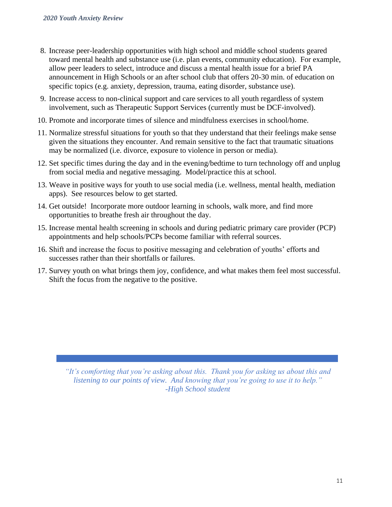- 8. Increase peer-leadership opportunities with high school and middle school students geared toward mental health and substance use (i.e. plan events, community education). For example, allow peer leaders to select, introduce and discuss a mental health issue for a brief PA announcement in High Schools or an after school club that offers 20-30 min. of education on specific topics (e.g. anxiety, depression, trauma, eating disorder, substance use).
- 9. Increase access to non-clinical support and care services to all youth regardless of system involvement, such as Therapeutic Support Services (currently must be DCF-involved).
- 10. Promote and incorporate times of silence and mindfulness exercises in school/home.
- 11. Normalize stressful situations for youth so that they understand that their feelings make sense given the situations they encounter. And remain sensitive to the fact that traumatic situations may be normalized (i.e. divorce, exposure to violence in person or media).
- 12. Set specific times during the day and in the evening/bedtime to turn technology off and unplug from social media and negative messaging. Model/practice this at school.
- 13. Weave in positive ways for youth to use social media (i.e. wellness, mental health, mediation apps). See resources below to get started.
- 14. Get outside! Incorporate more outdoor learning in schools, walk more, and find more opportunities to breathe fresh air throughout the day.
- 15. Increase mental health screening in schools and during pediatric primary care provider (PCP) appointments and help schools/PCPs become familiar with referral sources.
- 16. Shift and increase the focus to positive messaging and celebration of youths' efforts and successes rather than their shortfalls or failures.
- 17. Survey youth on what brings them joy, confidence, and what makes them feel most successful. Shift the focus from the negative to the positive.

*"It's comforting that you're asking about this. Thank you for asking us about this and listening to our points of view. And knowing that you're going to use it to help." -High School student*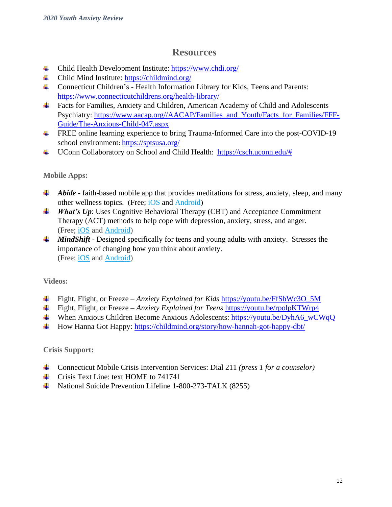## **Resources**

- Child Health Development Institute: <https://www.chdi.org/>
- Child Mind Institute:<https://childmind.org/>
- Connecticut Children's Health Information Library for Kids, Teens and Parents: <https://www.connecticutchildrens.org/health-library/>
- Facts for Families, Anxiety and Children, American Academy of Child and Adolescents Psychiatry: [https://www.aacap.org//AACAP/Families\\_and\\_Youth/Facts\\_for\\_Families/FFF-](https://www.aacap.org/AACAP/Families_and_Youth/Facts_for_Families/FFF-Guide/The-Anxious-Child-047.aspx)[Guide/The-Anxious-Child-047.aspx](https://www.aacap.org/AACAP/Families_and_Youth/Facts_for_Families/FFF-Guide/The-Anxious-Child-047.aspx)
- **FREE online learning experience to bring Trauma-Informed Care into the post-COVID-19** school environment: <https://sptsusa.org/>
- UConn Collaboratory on School and Child Health: [https://csch.uconn.edu/#](https://csch.uconn.edu/)

## **Mobile Apps:**

- *Abide* faith-based mobile app that provides meditations for stress, anxiety, sleep, and many other wellness topics. (Free; [iOS](https://apps.apple.com/us/app/abide-bible-sleep-meditation/id726031617) and [Android\)](https://play.google.com/store/apps/details?id=com.jacksontempra.apps.whatsup&hl=en)
- *What's Up*: Uses Cognitive Behavioral Therapy (CBT) and Acceptance Commitment Therapy (ACT) methods to help cope with depression, anxiety, stress, and anger. (Free; [iOS](https://itunes.apple.com/us/app/whats-up-a-mental-health-app/id968251160?mt=8) and [Android\)](https://play.google.com/store/apps/details?id=com.jacksontempra.apps.whatsup&hl=en)
- 4 *MindShift* Designed specifically for teens and young adults with anxiety. Stresses the importance of changing how you think about anxiety. (Free; [iOS](https://itunes.apple.com/us/app/mindshift/id634684825?mt=8) and [Android\)](https://play.google.com/store/apps/details?id=com.bstro.MindShift&hl=en)

## **Videos:**

- Fight, Flight, or Freeze *Anxiety Explained for Kids* https://youtu.be/FfSbWc3O 5M
- Fight, Flight, or Freeze *Anxiety Explained for Teens* <https://youtu.be/rpolpKTWrp4>
- When Anxious Children Become Anxious Adolescents: [https://youtu.be/DyhA6\\_wCWqQ](https://youtu.be/DyhA6_wCWqQ)
- How Hanna Got Happy:<https://childmind.org/story/how-hannah-got-happy-dbt/>

## **Crisis Support:**

- Connecticut Mobile Crisis Intervention Services: Dial 211 *(press 1 for a counselor)*
- $\overline{\phantom{a} \bullet}$  [Crisis Text Line:](http://www.crisistextline.org/) text HOME to 741741
- [National Suicide Prevention Lifeline](http://www.suicidepreventionlifeline.org/) 1-800-273-TALK (8255)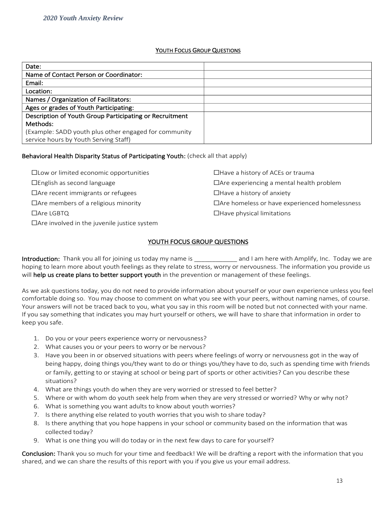#### YOUTH FOCUS GROUP QUESTIONS

| Date:                                                   |  |
|---------------------------------------------------------|--|
| Name of Contact Person or Coordinator:                  |  |
| Email:                                                  |  |
| Location:                                               |  |
| Names / Organization of Facilitators:                   |  |
| Ages or grades of Youth Participating:                  |  |
| Description of Youth Group Participating or Recruitment |  |
| Methods:                                                |  |
| (Example: SADD youth plus other engaged for community   |  |
| service hours by Youth Serving Staff)                   |  |

## Behavioral Health Disparity Status of Participating Youth: (check all that apply)

| $\Box$ Low or limited economic opportunities       | $\Box$ Have a history of ACEs or trauma              |
|----------------------------------------------------|------------------------------------------------------|
| $\Box$ English as second language                  | $\Box$ Are experiencing a mental health problem      |
| $\Box$ Are recent immigrants or refugees           | $\Box$ Have a history of anxiety                     |
| $\Box$ Are members of a religious minority         | $\Box$ Are homeless or have experienced homelessness |
| $\Box$ Are LGBTQ                                   | $\Box$ Have physical limitations                     |
| $\Box$ Are involved in the juvenile justice system |                                                      |

## YOUTH FOCUS GROUP QUESTIONS

Introduction: Thank you all for joining us today my name is and I am here with Amplify, Inc. Today we are hoping to learn more about youth feelings as they relate to stress, worry or nervousness. The information you provide us will help us create plans to better support youth in the prevention or management of these feelings.

As we ask questions today, you do not need to provide information about yourself or your own experience unless you feel comfortable doing so. You may choose to comment on what you see with your peers, without naming names, of course. Your answers will not be traced back to you, what you say in this room will be noted but not connected with your name. If you say something that indicates you may hurt yourself or others, we will have to share that information in order to keep you safe.

- 1. Do you or your peers experience worry or nervousness?
- 2. What causes you or your peers to worry or be nervous?
- 3. Have you been in or observed situations with peers where feelings of worry or nervousness got in the way of being happy, doing things you/they want to do or things you/they have to do, such as spending time with friends or family, getting to or staying at school or being part of sports or other activities? Can you describe these situations?
- 4. What are things youth do when they are very worried or stressed to feel better?
- 5. Where or with whom do youth seek help from when they are very stressed or worried? Why or why not?
- 6. What is something you want adults to know about youth worries?
- 7. Is there anything else related to youth worries that you wish to share today?
- 8. Is there anything that you hope happens in your school or community based on the information that was collected today?
- 9. What is one thing you will do today or in the next few days to care for yourself?

Conclusion: Thank you so much for your time and feedback! We will be drafting a report with the information that you shared, and we can share the results of this report with you if you give us your email address.